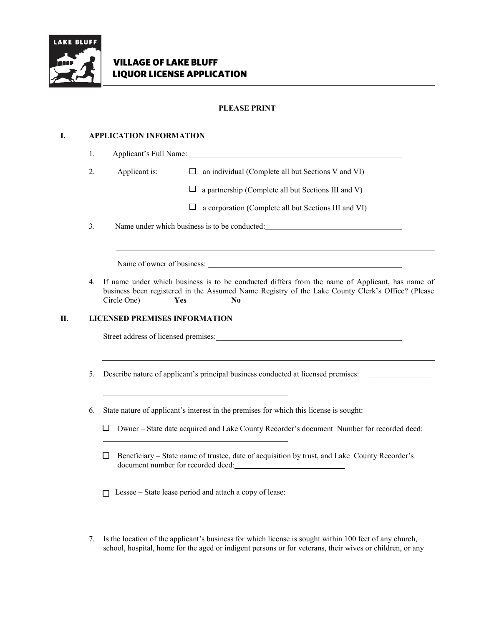

# **PLEASE PRINT**

# **I. APPLICATION INFORMATION**

| 1. |               | Applicant's Full Name:                                     |
|----|---------------|------------------------------------------------------------|
| 2. | Applicant is: | an individual (Complete all but Sections V and VI)<br>⊔ ⊢  |
|    |               | $\Box$ a partnership (Complete all but Sections III and V) |
|    |               | ⊔<br>a corporation (Complete all but Sections III and VI)  |
| 3. |               | Name under which business is to be conducted:              |

4. If name under which business is to be conducted differs from the name of Applicant, has name of business been registered in the Assumed Name Registry of the Lake County Clerk's Office? (Please Circle One) **Yes No**

### **II. LICENSED PREMISES INFORMATION**

Street address of licensed premises:

5. Describe nature of applicant's principal business conducted at licensed premises:

6. State nature of applicant's interest in the premises for which this license is sought:

- $\Box$  Owner State date acquired and Lake County Recorder's document Number for recorded deed:
- $\Box$  Beneficiary State name of trustee, date of acquisition by trust, and Lake County Recorder's document number for recorded deed:

 $\Box$  Lessee – State lease period and attach a copy of lease:

7. Is the location of the applicant's business for which license is sought within 100 feet of any church, school, hospital, home for the aged or indigent persons or for veterans, their wives or children, or any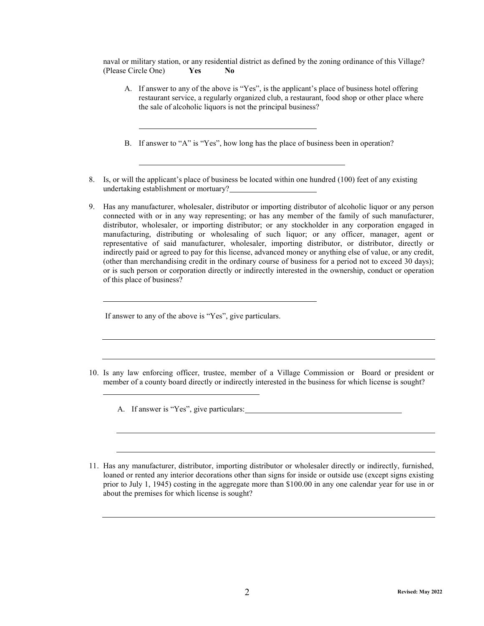naval or military station, or any residential district as defined by the zoning ordinance of this Village? (Please Circle One) **Yes No**

- A. If answer to any of the above is "Yes", is the applicant's place of business hotel offering restaurant service, a regularly organized club, a restaurant, food shop or other place where the sale of alcoholic liquors is not the principal business?
- B. If answer to "A" is "Yes", how long has the place of business been in operation?
- 8. Is, or will the applicant's place of business be located within one hundred (100) feet of any existing undertaking establishment or mortuary?
- 9. Has any manufacturer, wholesaler, distributor or importing distributor of alcoholic liquor or any person connected with or in any way representing; or has any member of the family of such manufacturer, distributor, wholesaler, or importing distributor; or any stockholder in any corporation engaged in manufacturing, distributing or wholesaling of such liquor; or any officer, manager, agent or representative of said manufacturer, wholesaler, importing distributor, or distributor, directly or indirectly paid or agreed to pay for this license, advanced money or anything else of value, or any credit, (other than merchandising credit in the ordinary course of business for a period not to exceed 30 days); or is such person or corporation directly or indirectly interested in the ownership, conduct or operation of this place of business?

If answer to any of the above is "Yes", give particulars.

- 10. Is any law enforcing officer, trustee, member of a Village Commission or Board or president or member of a county board directly or indirectly interested in the business for which license is sought?
	- A. If answer is "Yes", give particulars:
- 11. Has any manufacturer, distributor, importing distributor or wholesaler directly or indirectly, furnished, loaned or rented any interior decorations other than signs for inside or outside use (except signs existing prior to July 1, 1945) costing in the aggregate more than \$100.00 in any one calendar year for use in or about the premises for which license is sought?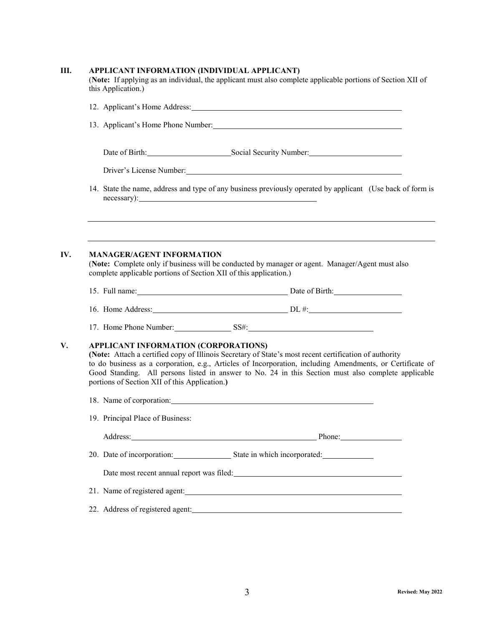|                                                                                       | 12. Applicant's Home Address: Manual Communication of the Address of The Address and The Address of the Address of the Address of the Address of the Address of the Address of the Address of the Address of the Address of th                                                                                             |  |
|---------------------------------------------------------------------------------------|----------------------------------------------------------------------------------------------------------------------------------------------------------------------------------------------------------------------------------------------------------------------------------------------------------------------------|--|
|                                                                                       | 13. Applicant's Home Phone Number:                                                                                                                                                                                                                                                                                         |  |
|                                                                                       | Date of Birth: Social Security Number: Social Security Number:                                                                                                                                                                                                                                                             |  |
|                                                                                       | Driver's License Number: 1997                                                                                                                                                                                                                                                                                              |  |
|                                                                                       | 14. State the name, address and type of any business previously operated by applicant (Use back of form is                                                                                                                                                                                                                 |  |
| <b>MANAGER/AGENT INFORMATION</b>                                                      | (Note: Complete only if business will be conducted by manager or agent. Manager/Agent must also                                                                                                                                                                                                                            |  |
| complete applicable portions of Section XII of this application.)                     |                                                                                                                                                                                                                                                                                                                            |  |
|                                                                                       |                                                                                                                                                                                                                                                                                                                            |  |
|                                                                                       | 15. Full name: Date of Birth: Date of Birth:                                                                                                                                                                                                                                                                               |  |
|                                                                                       | 17. Home Phone Number: SS#:                                                                                                                                                                                                                                                                                                |  |
| APPLICANT INFORMATION (CORPORATIONS)<br>portions of Section XII of this Application.) | (Note: Attach a certified copy of Illinois Secretary of State's most recent certification of authority<br>to do business as a corporation, e.g., Articles of Incorporation, including Amendments, or Certificate of<br>Good Standing. All persons listed in answer to No. 24 in this Section must also complete applicable |  |
|                                                                                       | 18. Name of corporation: 18. Name of corporation:                                                                                                                                                                                                                                                                          |  |
| 19. Principal Place of Business:                                                      |                                                                                                                                                                                                                                                                                                                            |  |
|                                                                                       | Address: Phone: Phone: Phone: Phone: Phone: Phone: Phone: Phone: Phone: Phone: Phone: Phone: Phone: Phone: Phone: Phone: Phone: Phone: Phone: Phone: Phone: Phone: Phone: Phone: Phone: Phone: Phone: Phone: Phone: Phone: Pho                                                                                             |  |
|                                                                                       |                                                                                                                                                                                                                                                                                                                            |  |
|                                                                                       | Date most recent annual report was filed: Note that the state of the state of the state of the state of the state of the state of the state of the state of the state of the state of the state of the state of the state of t                                                                                             |  |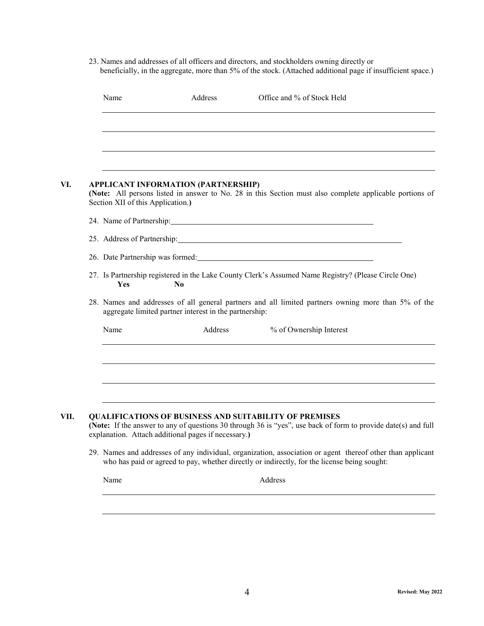23. Names and addresses of all officers and directors, and stockholders owning directly or beneficially, in the aggregate, more than 5% of the stock. (Attached additional page if insufficient space.)

| Name                              | Address                                                | Office and % of Stock Held                                                                                                                                                                                                                                                                                                  |
|-----------------------------------|--------------------------------------------------------|-----------------------------------------------------------------------------------------------------------------------------------------------------------------------------------------------------------------------------------------------------------------------------------------------------------------------------|
|                                   |                                                        |                                                                                                                                                                                                                                                                                                                             |
|                                   |                                                        |                                                                                                                                                                                                                                                                                                                             |
|                                   |                                                        |                                                                                                                                                                                                                                                                                                                             |
| Section XII of this Application.) | <b>APPLICANT INFORMATION (PARTNERSHIP)</b>             | (Note: All persons listed in answer to No. 28 in this Section must also complete applicable portions of                                                                                                                                                                                                                     |
|                                   |                                                        | 24. Name of Partnership: 24. Name of Partnership:                                                                                                                                                                                                                                                                           |
|                                   |                                                        | 25. Address of Partnership: 25. Address of Partnership:                                                                                                                                                                                                                                                                     |
|                                   |                                                        |                                                                                                                                                                                                                                                                                                                             |
| Yes                               | $\bf No$                                               | 27. Is Partnership registered in the Lake County Clerk's Assumed Name Registry? (Please Circle One)                                                                                                                                                                                                                         |
|                                   |                                                        | 28. Names and addresses of all general partners and all limited partners owning more than 5% of the                                                                                                                                                                                                                         |
|                                   | aggregate limited partner interest in the partnership: |                                                                                                                                                                                                                                                                                                                             |
| Name                              | Address                                                | % of Ownership Interest                                                                                                                                                                                                                                                                                                     |
|                                   |                                                        |                                                                                                                                                                                                                                                                                                                             |
|                                   |                                                        |                                                                                                                                                                                                                                                                                                                             |
|                                   |                                                        |                                                                                                                                                                                                                                                                                                                             |
|                                   | explanation. Attach additional pages if necessary.)    | <b>QUALIFICATIONS OF BUSINESS AND SUITABILITY OF PREMISES</b>                                                                                                                                                                                                                                                               |
|                                   |                                                        | (Note: If the answer to any of questions 30 through 36 is "yes", use back of form to provide date(s) and full<br>29. Names and addresses of any individual, organization, association or agent thereof other than applicant<br>who has paid or agreed to pay, whether directly or indirectly, for the license being sought: |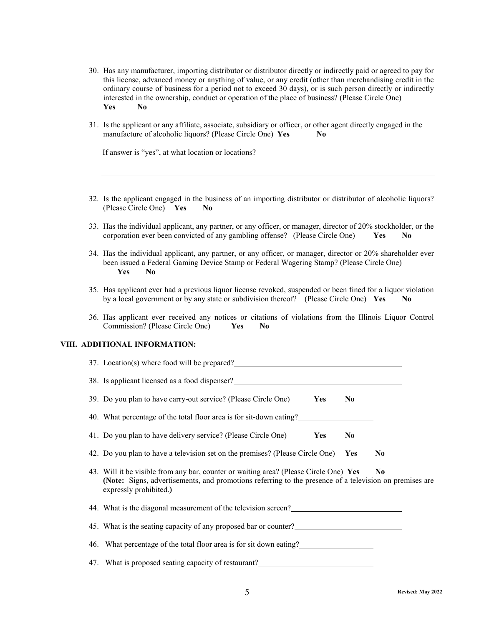- 30. Has any manufacturer, importing distributor or distributor directly or indirectly paid or agreed to pay for this license, advanced money or anything of value, or any credit (other than merchandising credit in the ordinary course of business for a period not to exceed 30 days), or is such person directly or indirectly interested in the ownership, conduct or operation of the place of business? (Please Circle One) **Yes No**
- 31. Is the applicant or any affiliate, associate, subsidiary or officer, or other agent directly engaged in the manufacture of alcoholic liquors? (Please Circle One) **Yes No**

If answer is "yes", at what location or locations?

- 32. Is the applicant engaged in the business of an importing distributor or distributor of alcoholic liquors? (Please Circle One) **Yes No**
- 33. Has the individual applicant, any partner, or any officer, or manager, director of 20% stockholder, or the corporation ever been convicted of any gambling offense? (Please Circle One) **Yes No**
- 34. Has the individual applicant, any partner, or any officer, or manager, director or 20% shareholder ever been issued a Federal Gaming Device Stamp or Federal Wagering Stamp? (Please Circle One) **Yes No**
- 35. Has applicant ever had a previous liquor license revoked, suspended or been fined for a liquor violation by a local government or by any state or subdivision thereof? (Please Circle One) **Yes No**
- 36. Has applicant ever received any notices or citations of violations from the Illinois Liquor Control Commission? (Please Circle One) **Yes No**

#### **VIII. ADDITIONAL INFORMATION:**

| 37. Location(s) where food will be prepared?                                                                                                                                                    |                |                |
|-------------------------------------------------------------------------------------------------------------------------------------------------------------------------------------------------|----------------|----------------|
| 38. Is applicant licensed as a food dispenser?                                                                                                                                                  |                |                |
| 39. Do you plan to have carry-out service? (Please Circle One)<br><b>Yes</b>                                                                                                                    | N <sub>0</sub> |                |
| 40. What percentage of the total floor area is for sit-down eating?                                                                                                                             |                |                |
| 41. Do you plan to have delivery service? (Please Circle One)<br>Yes                                                                                                                            | N <sub>0</sub> |                |
| 42. Do you plan to have a television set on the premises? (Please Circle One) Yes                                                                                                               |                | N <sub>0</sub> |
| 43. Will it be visible from any bar, counter or waiting area? (Please Circle One) Yes<br>(Note: Signs, advertisements, and promotions referring to the presence of a television on premises are |                | N <sub>0</sub> |
| expressly prohibited.)                                                                                                                                                                          |                |                |
| 44. What is the diagonal measurement of the television screen?                                                                                                                                  |                |                |
| 45. What is the seating capacity of any proposed bar or counter?                                                                                                                                |                |                |
| 46. What percentage of the total floor area is for sit down eating?                                                                                                                             |                |                |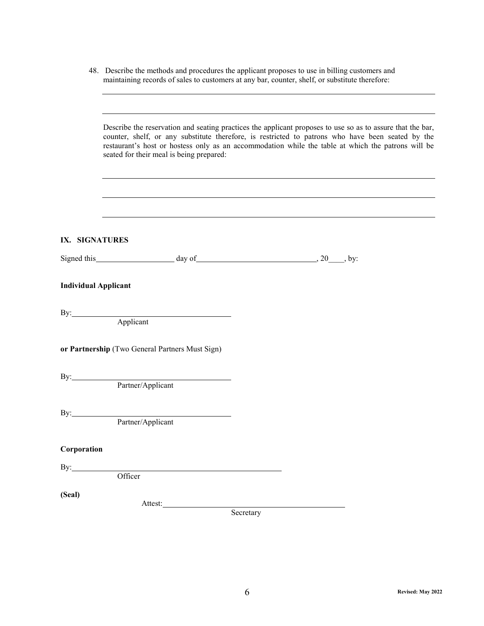|                             | 48. Describe the methods and procedures the applicant proposes to use in billing customers and<br>maintaining records of sales to customers at any bar, counter, shelf, or substitute therefore:                                                                                                                                                                  |           |  |  |  |  |
|-----------------------------|-------------------------------------------------------------------------------------------------------------------------------------------------------------------------------------------------------------------------------------------------------------------------------------------------------------------------------------------------------------------|-----------|--|--|--|--|
|                             | Describe the reservation and seating practices the applicant proposes to use so as to assure that the bar,<br>counter, shelf, or any substitute therefore, is restricted to patrons who have been seated by the<br>restaurant's host or hostess only as an accommodation while the table at which the patrons will be<br>seated for their meal is being prepared: |           |  |  |  |  |
|                             |                                                                                                                                                                                                                                                                                                                                                                   |           |  |  |  |  |
| IX. SIGNATURES              |                                                                                                                                                                                                                                                                                                                                                                   |           |  |  |  |  |
|                             | Signed this $\qquad \qquad \text{day of} \qquad \qquad 20 \qquad \text{by:}$                                                                                                                                                                                                                                                                                      |           |  |  |  |  |
| <b>Individual Applicant</b> | By: <u>Applicant</u>                                                                                                                                                                                                                                                                                                                                              |           |  |  |  |  |
|                             | or Partnership (Two General Partners Must Sign)                                                                                                                                                                                                                                                                                                                   |           |  |  |  |  |
| By:_                        | Partner/Applicant                                                                                                                                                                                                                                                                                                                                                 |           |  |  |  |  |
| By:                         | Partner/Applicant                                                                                                                                                                                                                                                                                                                                                 |           |  |  |  |  |
| Corporation                 |                                                                                                                                                                                                                                                                                                                                                                   |           |  |  |  |  |
| By: $\qquad \qquad$         | Officer                                                                                                                                                                                                                                                                                                                                                           |           |  |  |  |  |
| (Seal)                      |                                                                                                                                                                                                                                                                                                                                                                   | Secretary |  |  |  |  |
|                             |                                                                                                                                                                                                                                                                                                                                                                   |           |  |  |  |  |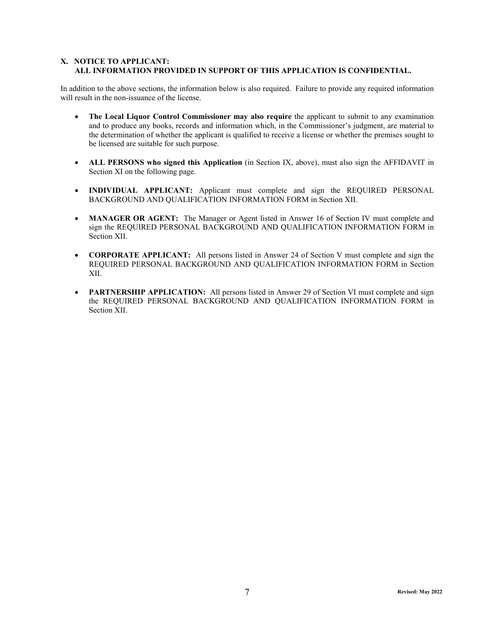### **X. NOTICE TO APPLICANT: ALL INFORMATION PROVIDED IN SUPPORT OF THIS APPLICATION IS CONFIDENTIAL.**

In addition to the above sections, the information below is also required. Failure to provide any required information will result in the non-issuance of the license.

- **The Local Liquor Control Commissioner may also require** the applicant to submit to any examination and to produce any books, records and information which, in the Commissioner's judgment, are material to the determination of whether the applicant is qualified to receive a license or whether the premises sought to be licensed are suitable for such purpose.
- **ALL PERSONS who signed this Application** (in Section IX, above), must also sign the AFFIDAVIT in Section XI on the following page.
- **INDIVIDUAL APPLICANT:** Applicant must complete and sign the REQUIRED PERSONAL BACKGROUND AND QUALIFICATION INFORMATION FORM in Section XII.
- **MANAGER OR AGENT:** The Manager or Agent listed in Answer 16 of Section IV must complete and sign the REQUIRED PERSONAL BACKGROUND AND QUALIFICATION INFORMATION FORM in Section XII.
- **CORPORATE APPLICANT:** All persons listed in Answer 24 of Section V must complete and sign the REQUIRED PERSONAL BACKGROUND AND QUALIFICATION INFORMATION FORM in Section XII.
- **PARTNERSHIP APPLICATION:** All persons listed in Answer 29 of Section VI must complete and sign the REQUIRED PERSONAL BACKGROUND AND QUALIFICATION INFORMATION FORM in Section XII.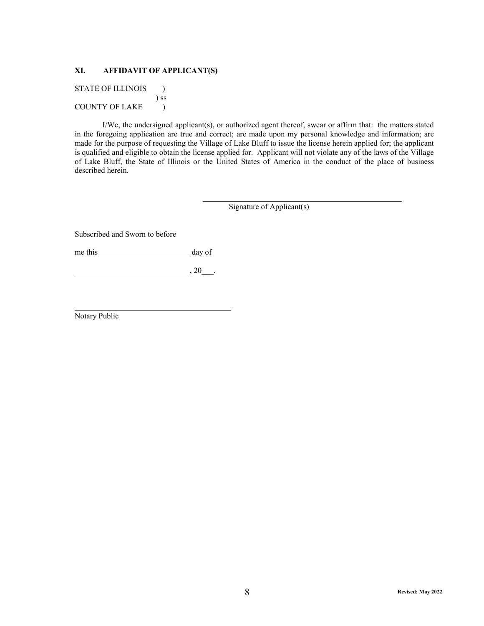### **XI. AFFIDAVIT OF APPLICANT(S)**

STATE OF ILLINOIS  $\qquad$  ) ) ss COUNTY OF LAKE  $\qquad$  )

 I/We, the undersigned applicant(s), or authorized agent thereof, swear or affirm that: the matters stated in the foregoing application are true and correct; are made upon my personal knowledge and information; are made for the purpose of requesting the Village of Lake Bluff to issue the license herein applied for; the applicant is qualified and eligible to obtain the license applied for. Applicant will not violate any of the laws of the Village of Lake Bluff, the State of Illinois or the United States of America in the conduct of the place of business described herein.

Signature of Applicant(s)

Subscribed and Sworn to before

me this <u>day of</u>

 $\Box$ , 20\_\_\_\_.

Notary Public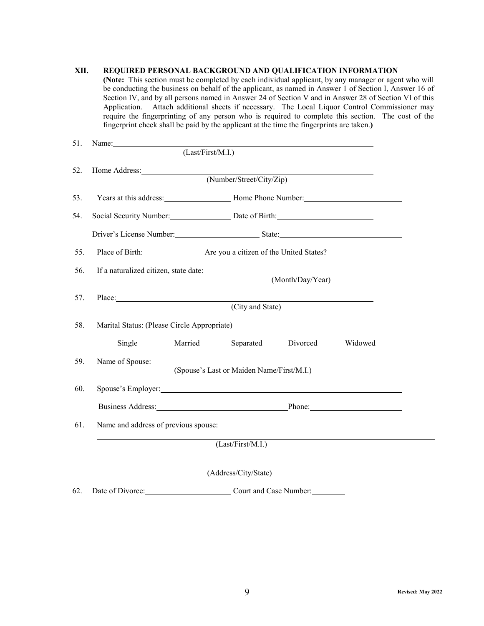# **XII. REQUIRED PERSONAL BACKGROUND AND QUALIFICATION INFORMATION**

**(Note:** This section must be completed by each individual applicant, by any manager or agent who will be conducting the business on behalf of the applicant, as named in Answer 1 of Section I, Answer 16 of Section IV, and by all persons named in Answer 24 of Section V and in Answer 28 of Section VI of this Application. Attach additional sheets if necessary. The Local Liquor Control Commissioner may require the fingerprinting of any person who is required to complete this section. The cost of the fingerprint check shall be paid by the applicant at the time the fingerprints are taken.**)**

| 51. | Name:                                                                                                                                                                                                                          | (Last/First/M.I.) |                                           |                  |         |
|-----|--------------------------------------------------------------------------------------------------------------------------------------------------------------------------------------------------------------------------------|-------------------|-------------------------------------------|------------------|---------|
| 52. |                                                                                                                                                                                                                                |                   |                                           |                  |         |
|     |                                                                                                                                                                                                                                |                   |                                           |                  |         |
| 53. |                                                                                                                                                                                                                                |                   |                                           |                  |         |
| 54. | Social Security Number: Date of Birth:                                                                                                                                                                                         |                   |                                           |                  |         |
|     | Driver's License Number: State: State: State: State: State: State: State: State: State: State: State: State: State: State: State: State: State: State: State: State: State: State: State: State: State: State: State: State: S |                   |                                           |                  |         |
| 55. | Place of Birth: Are you a citizen of the United States?                                                                                                                                                                        |                   |                                           |                  |         |
| 56. | If a naturalized citizen, state date: Manual Communication of a naturalized citizen, state date:                                                                                                                               |                   |                                           | (Month/Day/Year) |         |
|     |                                                                                                                                                                                                                                |                   |                                           |                  |         |
| 57. | Place: New York Contract the Contract of the Contract of the Contract of the Contract of the Contract of the Contract of the Contract of the Contract of the Contract of the Contract of the Contract of the Contract of the C |                   | (City and State)                          |                  |         |
| 58. | Marital Status: (Please Circle Appropriate)                                                                                                                                                                                    |                   |                                           |                  |         |
|     | Single                                                                                                                                                                                                                         | Married           | Separated                                 | Divorced         | Widowed |
| 59. |                                                                                                                                                                                                                                |                   |                                           |                  |         |
|     |                                                                                                                                                                                                                                |                   | (Spouse's Last or Maiden Name/First/M.I.) |                  |         |
| 60. | Spouse's Employer: Spouse's Employer:                                                                                                                                                                                          |                   |                                           |                  |         |
|     | Business Address: Phone: Phone: Phone:                                                                                                                                                                                         |                   |                                           |                  |         |
| 61. | Name and address of previous spouse:                                                                                                                                                                                           |                   |                                           |                  |         |
|     |                                                                                                                                                                                                                                |                   | (Last/First/M.I.)                         |                  |         |
|     |                                                                                                                                                                                                                                |                   | (Address/City/State)                      |                  |         |
|     |                                                                                                                                                                                                                                |                   |                                           |                  |         |
| 62. | Date of Divorce: Court and Case Number:                                                                                                                                                                                        |                   |                                           |                  |         |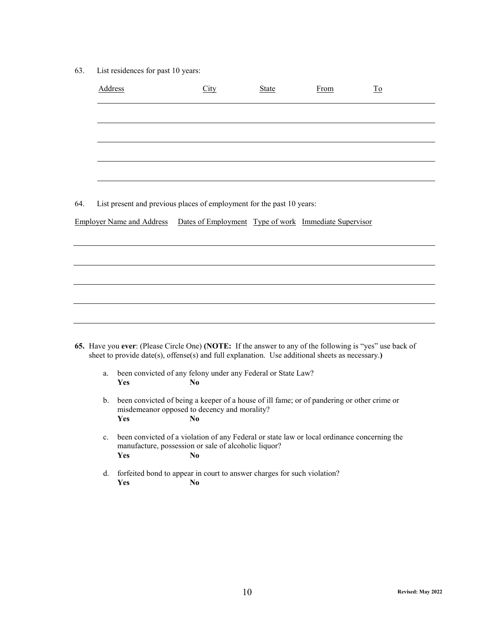63. List residences for past 10 years:

|     | <b>Address</b> |                                                                                                                                                                                                             | City                                                  | <b>State</b> | From | To |
|-----|----------------|-------------------------------------------------------------------------------------------------------------------------------------------------------------------------------------------------------------|-------------------------------------------------------|--------------|------|----|
|     |                |                                                                                                                                                                                                             |                                                       |              |      |    |
|     |                |                                                                                                                                                                                                             |                                                       |              |      |    |
|     |                |                                                                                                                                                                                                             |                                                       |              |      |    |
|     |                |                                                                                                                                                                                                             |                                                       |              |      |    |
| 64. |                | List present and previous places of employment for the past 10 years:                                                                                                                                       |                                                       |              |      |    |
|     |                | <b>Employer Name and Address</b>                                                                                                                                                                            | Dates of Employment Type of work Immediate Supervisor |              |      |    |
|     |                |                                                                                                                                                                                                             |                                                       |              |      |    |
|     |                |                                                                                                                                                                                                             |                                                       |              |      |    |
|     |                |                                                                                                                                                                                                             |                                                       |              |      |    |
|     |                |                                                                                                                                                                                                             |                                                       |              |      |    |
|     |                | 65. Have you ever: (Please Circle One) (NOTE: If the answer to any of the following is "yes" use back of<br>sheet to provide date(s), offense(s) and full explanation. Use additional sheets as necessary.) |                                                       |              |      |    |
|     | a.             | been convicted of any felony under any Federal or State Law?<br>Yes                                                                                                                                         | N <sub>0</sub>                                        |              |      |    |
|     | $\mathbf{b}$ . | been convicted of being a keeper of a house of ill fame; or of pandering or other crime or<br>misdemeanor opposed to decency and morality?<br>Yes                                                           | N <sub>0</sub>                                        |              |      |    |
|     | c.             | been convicted of a violation of any Federal or state law or local ordinance concerning the<br>manufacture, possession or sale of alcoholic liquor?<br>Yes                                                  | N <sub>0</sub>                                        |              |      |    |
|     | d.             | forfeited bond to appear in court to answer charges for such violation?<br>Yes                                                                                                                              | N <sub>0</sub>                                        |              |      |    |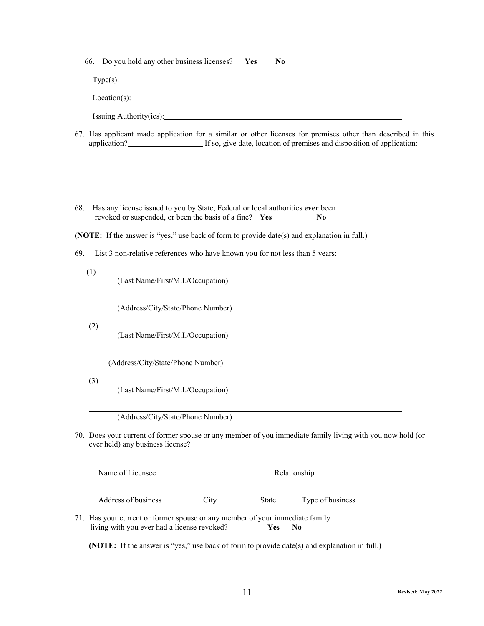|  |  |  | 66. Do you hold any other business licenses? |  |  |  | - Yes | No |
|--|--|--|----------------------------------------------|--|--|--|-------|----|
|--|--|--|----------------------------------------------|--|--|--|-------|----|

Type(s):

Location(s):

Issuing Authority(ies):

- 67. Has applicant made application for a similar or other licenses for premises other than described in this application? If so, give date, location of premises and disposition of application:
- 68. Has any license issued to you by State, Federal or local authorities **ever** been revoked or suspended, or been the basis of a fine? **Yes No**

**(NOTE:** If the answer is "yes," use back of form to provide date(s) and explanation in full.**)**

69. List 3 non-relative references who have known you for not less than 5 years:

 $(1)$ (Last Name/First/M.I./Occupation)

(Address/City/State/Phone Number)

 $(2)$ 

(Last Name/First/M.I./Occupation)

(Address/City/State/Phone Number)

 $(3)$ 

(Last Name/First/M.I./Occupation)

(Address/City/State/Phone Number)

70. Does your current of former spouse or any member of you immediate family living with you now hold (or ever held) any business license?

| Name of Licensee    |      | Relationship |                  |  |
|---------------------|------|--------------|------------------|--|
| Address of business | City | State        | Type of business |  |

71. Has your current or former spouse or any member of your immediate family living with you ever had a license revoked? **Yes No**

**(NOTE:** If the answer is "yes," use back of form to provide date(s) and explanation in full.**)**